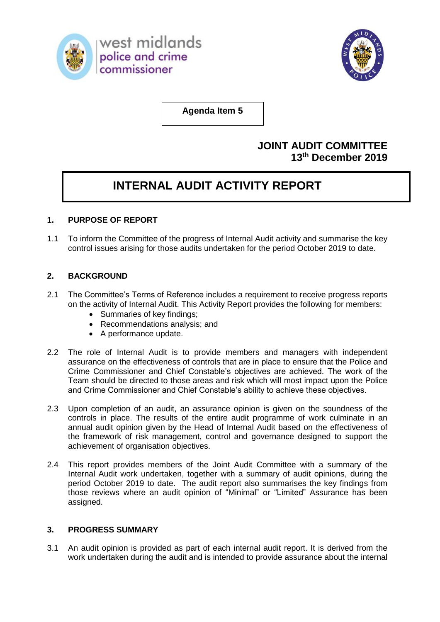



**Agenda Item 5**

# **JOINT AUDIT COMMITTEE 13th December 2019**

# **INTERNAL AUDIT ACTIVITY REPORT**

# **1. PURPOSE OF REPORT**

1.1 To inform the Committee of the progress of Internal Audit activity and summarise the key control issues arising for those audits undertaken for the period October 2019 to date.

# **2. BACKGROUND**

- 2.1 The Committee's Terms of Reference includes a requirement to receive progress reports on the activity of Internal Audit. This Activity Report provides the following for members:
	- Summaries of key findings;
	- Recommendations analysis; and
	- A performance update.
- 2.2 The role of Internal Audit is to provide members and managers with independent assurance on the effectiveness of controls that are in place to ensure that the Police and Crime Commissioner and Chief Constable's objectives are achieved. The work of the Team should be directed to those areas and risk which will most impact upon the Police and Crime Commissioner and Chief Constable's ability to achieve these objectives.
- 2.3 Upon completion of an audit, an assurance opinion is given on the soundness of the controls in place. The results of the entire audit programme of work culminate in an annual audit opinion given by the Head of Internal Audit based on the effectiveness of the framework of risk management, control and governance designed to support the achievement of organisation objectives.
- 2.4 This report provides members of the Joint Audit Committee with a summary of the Internal Audit work undertaken, together with a summary of audit opinions, during the period October 2019 to date. The audit report also summarises the key findings from those reviews where an audit opinion of "Minimal" or "Limited" Assurance has been assigned.

## **3. PROGRESS SUMMARY**

3.1 An audit opinion is provided as part of each internal audit report. It is derived from the work undertaken during the audit and is intended to provide assurance about the internal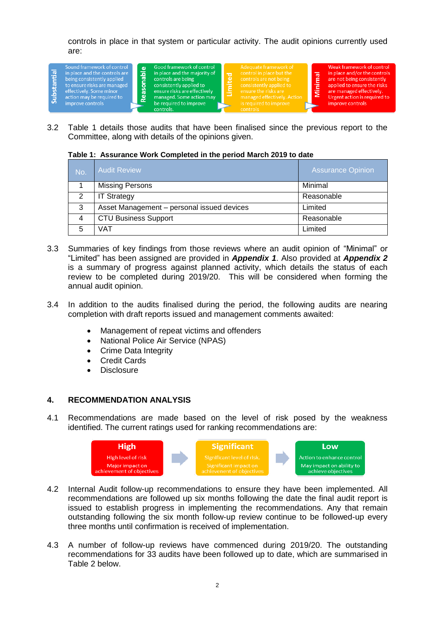controls in place in that system or particular activity. The audit opinions currently used are:



3.2 Table 1 details those audits that have been finalised since the previous report to the Committee, along with details of the opinions given.

#### **Table 1: Assurance Work Completed in the period March 2019 to date**

| No. | <b>Audit Review</b>                        | <b>Assurance Opinion</b> |
|-----|--------------------------------------------|--------------------------|
|     | <b>Missing Persons</b>                     | Minimal                  |
| 2   | <b>IT Strategy</b>                         | Reasonable               |
| 3   | Asset Management - personal issued devices | Limited                  |
|     | <b>CTU Business Support</b>                | Reasonable               |
| 5   | VAT                                        | Limited                  |

- 3.3 Summaries of key findings from those reviews where an audit opinion of "Minimal" or "Limited" has been assigned are provided in *Appendix 1*. Also provided at *Appendix 2*  is a summary of progress against planned activity, which details the status of each review to be completed during 2019/20. This will be considered when forming the annual audit opinion.
- 3.4 In addition to the audits finalised during the period, the following audits are nearing completion with draft reports issued and management comments awaited:
	- Management of repeat victims and offenders
	- National Police Air Service (NPAS)
	- Crime Data Integrity
	- Credit Cards
	- **Disclosure**

#### **4. RECOMMENDATION ANALYSIS**

4.1 Recommendations are made based on the level of risk posed by the weakness identified. The current ratings used for ranking recommendations are:



- 4.2 Internal Audit follow-up recommendations to ensure they have been implemented. All recommendations are followed up six months following the date the final audit report is issued to establish progress in implementing the recommendations. Any that remain outstanding following the six month follow-up review continue to be followed-up every three months until confirmation is received of implementation.
- 4.3 A number of follow-up reviews have commenced during 2019/20. The outstanding recommendations for 33 audits have been followed up to date, which are summarised in Table 2 below.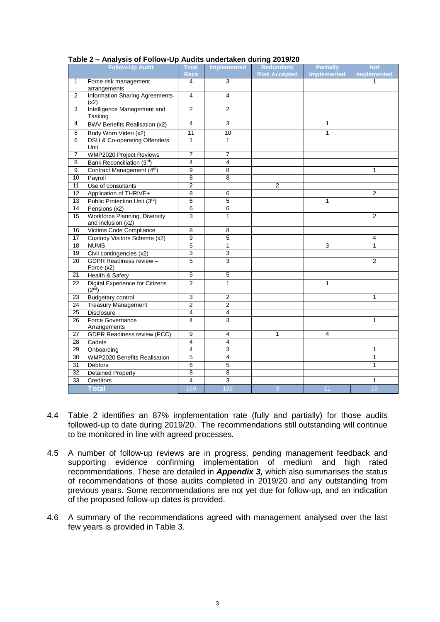|                 | .<br><br>.r<br><b>Follow-Up Audit</b>                        | <b>Total</b>    | <b>Implemented</b> | .<br>Redundant/      | <b>Partially</b>   | <b>Not</b>         |
|-----------------|--------------------------------------------------------------|-----------------|--------------------|----------------------|--------------------|--------------------|
|                 |                                                              | <b>Recs</b>     |                    | <b>Risk Accepted</b> | <b>Implemented</b> | <b>Implemented</b> |
| $\mathbf{1}$    | Force risk management                                        | 4               | $\overline{3}$     |                      |                    | 1                  |
|                 | arrangements                                                 |                 |                    |                      |                    |                    |
| $\mathbf{2}$    | <b>Information Sharing Agreements</b><br>(x2)                | $\overline{4}$  | 4                  |                      |                    |                    |
| 3               | Intelligence Management and<br>Tasking                       | $\overline{2}$  | $\overline{2}$     |                      |                    |                    |
| $\overline{4}$  | <b>BWV Benefits Realisation (x2)</b>                         | $\overline{4}$  | 3                  |                      | 1                  |                    |
| $\overline{5}$  | Body Worn Video (x2)                                         | $\overline{11}$ | 10                 |                      | 1                  |                    |
| 6               | <b>DSU &amp; Co-operating Offenders</b><br>Unit              | $\mathbf{1}$    | $\mathbf{1}$       |                      |                    |                    |
| $\overline{7}$  | <b>WMP2020 Project Reviews</b>                               | $\overline{7}$  | 7                  |                      |                    |                    |
| $\overline{8}$  | Bank Reconciliation (3rd)                                    | $\overline{4}$  | $\overline{4}$     |                      |                    |                    |
| 9               | Contract Management (4 <sup>th</sup> )                       | 9               | 8                  |                      |                    | $\mathbf{1}$       |
| 10              | Payroll                                                      | 8               | 8                  |                      |                    |                    |
| $\overline{11}$ | Use of consultants                                           | $\overline{2}$  |                    | $\overline{2}$       |                    |                    |
| $\overline{12}$ | Application of THRIVE+                                       | 8               | 6                  |                      |                    | $\overline{2}$     |
| $\overline{13}$ | Public Protection Unit (3rd)                                 | 6               | 5                  |                      | 1                  |                    |
| 14              | Pensions (x2)                                                | 6               | 6                  |                      |                    |                    |
| 15              | Workforce Planning, Diversity<br>and inclusion (x2)          | 3               | $\mathbf{1}$       |                      |                    | $\overline{2}$     |
| 16              | Victims Code Compliance                                      | $\overline{8}$  | 8                  |                      |                    |                    |
| 17              | Custody Visitors Scheme (x2)                                 | 9               | 5                  |                      |                    | 4                  |
| 18              | <b>NUMS</b>                                                  | 5               | 1                  |                      | 3                  | $\mathbf{1}$       |
| 19              | Civil contingencies (x2)                                     | 3               | 3                  |                      |                    |                    |
| 20              | GDPR Readiness review -<br>Force (x2)                        | 5               | 3                  |                      |                    | $\overline{2}$     |
| 21              | Health & Safety                                              | 5               | 5                  |                      |                    |                    |
| $\overline{22}$ | <b>Digital Experience for Citizens</b><br>(2 <sup>nd</sup> ) | $\overline{2}$  | 1                  |                      | 1                  |                    |
| 23              | <b>Budgetary control</b>                                     | $\overline{3}$  | $\overline{2}$     |                      |                    | $\mathbf{1}$       |
| 24              | <b>Treasury Management</b>                                   | $\overline{2}$  | $\overline{2}$     |                      |                    |                    |
| $\overline{25}$ | <b>Disclosure</b>                                            | $\overline{4}$  | 4                  |                      |                    |                    |
| $\overline{26}$ | Force Governance<br>Arrangements                             | 4               | 3                  |                      |                    | $\mathbf{1}$       |
| $\overline{27}$ | <b>GDPR Readiness review (PCC)</b>                           | 9               | 4                  | 1                    | 4                  |                    |
| $\overline{28}$ | Cadets                                                       | $\overline{4}$  | 4                  |                      |                    |                    |
| 29              | Onboarding                                                   | $\overline{4}$  | 3                  |                      |                    | $\mathbf{1}$       |
| 30              | <b>WMP2020 Benefits Realisation</b>                          | $\overline{5}$  | 4                  |                      |                    | $\mathbf{1}$       |
| $\overline{31}$ | Debtors                                                      | 6               | 5                  |                      |                    | $\mathbf{1}$       |
| 32              | <b>Detained Property</b>                                     | 8               | 8                  |                      |                    |                    |
| 33              | Creditors                                                    | 4               | 3                  |                      |                    | 1                  |
|                 | <b>Total</b>                                                 | 169             | 136                | $\overline{3}$       | 11                 | 19                 |

#### **Table 2 – Analysis of Follow-Up Audits undertaken during 2019/20**

- 4.4 Table 2 identifies an 87% implementation rate (fully and partially) for those audits followed-up to date during 2019/20. The recommendations still outstanding will continue to be monitored in line with agreed processes.
- 4.5 A number of follow-up reviews are in progress, pending management feedback and supporting evidence confirming implementation of medium and high rated recommendations. These are detailed in *Appendix 3,* which also summarises the status of recommendations of those audits completed in 2019/20 and any outstanding from previous years. Some recommendations are not yet due for follow-up, and an indication of the proposed follow-up dates is provided.
- 4.6 A summary of the recommendations agreed with management analysed over the last few years is provided in Table 3.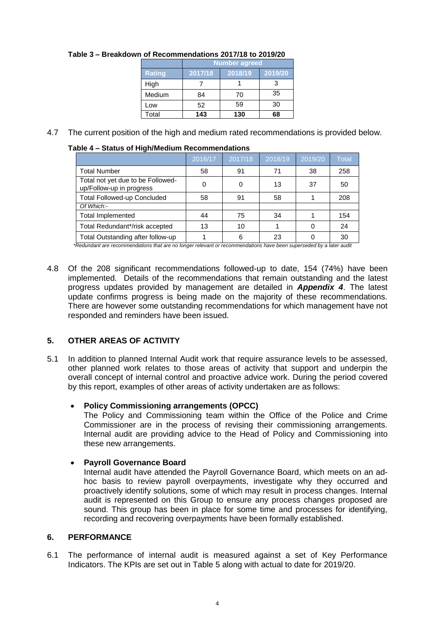|               | Number agreed |         |         |  |  |  |  |  |  |
|---------------|---------------|---------|---------|--|--|--|--|--|--|
| <b>Rating</b> | 2017/18       | 2018/19 | 2019/20 |  |  |  |  |  |  |
| High          |               |         |         |  |  |  |  |  |  |
| Medium        | 84            | 70      | 35      |  |  |  |  |  |  |
| Low           | 52            | 59      | 30      |  |  |  |  |  |  |
| Total         | 143           | 130     | 68      |  |  |  |  |  |  |

# **Table 3 – Breakdown of Recommendations 2017/18 to 2019/20**

4.7 The current position of the high and medium rated recommendations is provided below.

#### **Table 4 – Status of High/Medium Recommendations**

|                                                               | 2016/17 | 2017/18 | 2018/19 | 2019/20 | Total |
|---------------------------------------------------------------|---------|---------|---------|---------|-------|
| <b>Total Number</b>                                           | 58      | 91      | 71      | 38      | 258   |
| Total not yet due to be Followed-<br>up/Follow-up in progress | 0       |         | 13      | 37      | 50    |
| <b>Total Followed-up Concluded</b>                            | 58      | 91      | 58      |         | 208   |
| Of Which:-                                                    |         |         |         |         |       |
| <b>Total Implemented</b>                                      | 44      | 75      | 34      |         | 154   |
| Total Redundant*/risk accepted                                | 13      | 10      |         |         | 24    |
| Total Outstanding after follow-up                             |         | 6       | 23      |         | 30    |

*\*Redundant are recommendations that are no longer relevant or recommendations have been superseded by a later audit*

4.8 Of the 208 significant recommendations followed-up to date, 154 (74%) have been implemented. Details of the recommendations that remain outstanding and the latest progress updates provided by management are detailed in *Appendix 4*. The latest update confirms progress is being made on the majority of these recommendations. There are however some outstanding recommendations for which management have not responded and reminders have been issued.

# **5. OTHER AREAS OF ACTIVITY**

5.1 In addition to planned Internal Audit work that require assurance levels to be assessed, other planned work relates to those areas of activity that support and underpin the overall concept of internal control and proactive advice work. During the period covered by this report, examples of other areas of activity undertaken are as follows:

## **Policy Commissioning arrangements (OPCC)**

The Policy and Commissioning team within the Office of the Police and Crime Commissioner are in the process of revising their commissioning arrangements. Internal audit are providing advice to the Head of Policy and Commissioning into these new arrangements.

## **Payroll Governance Board**

Internal audit have attended the Payroll Governance Board, which meets on an adhoc basis to review payroll overpayments, investigate why they occurred and proactively identify solutions, some of which may result in process changes. Internal audit is represented on this Group to ensure any process changes proposed are sound. This group has been in place for some time and processes for identifying, recording and recovering overpayments have been formally established.

## **6. PERFORMANCE**

6.1 The performance of internal audit is measured against a set of Key Performance Indicators. The KPIs are set out in Table 5 along with actual to date for 2019/20.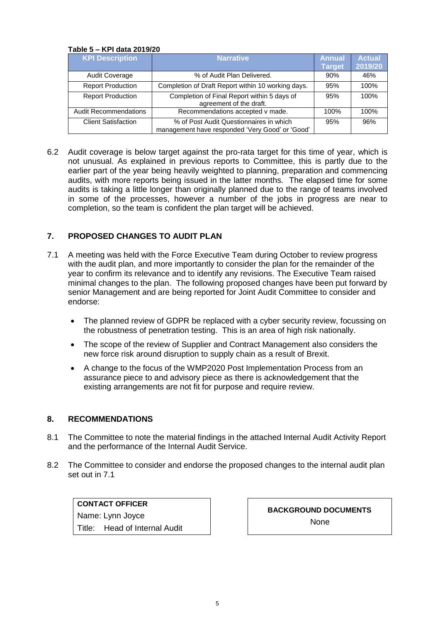#### **Table 5 – KPI data 2019/20**

| <b>KPI Description</b>       | <b>Narrative</b>                                                                           | <b>Annual</b> | <b>Actual</b> |
|------------------------------|--------------------------------------------------------------------------------------------|---------------|---------------|
|                              |                                                                                            | <b>Target</b> | 2019/20       |
| <b>Audit Coverage</b>        | % of Audit Plan Delivered.                                                                 | 90%           | 46%           |
| <b>Report Production</b>     | Completion of Draft Report within 10 working days.                                         | 95%           | 100%          |
| <b>Report Production</b>     | Completion of Final Report within 5 days of<br>agreement of the draft.                     | 95%           | 100%          |
| <b>Audit Recommendations</b> | Recommendations accepted v made.                                                           | 100%          | 100%          |
| <b>Client Satisfaction</b>   | % of Post Audit Questionnaires in which<br>management have responded 'Very Good' or 'Good' | 95%           | 96%           |

6.2 Audit coverage is below target against the pro-rata target for this time of year, which is not unusual. As explained in previous reports to Committee, this is partly due to the earlier part of the year being heavily weighted to planning, preparation and commencing audits, with more reports being issued in the latter months. The elapsed time for some audits is taking a little longer than originally planned due to the range of teams involved in some of the processes, however a number of the jobs in progress are near to completion, so the team is confident the plan target will be achieved.

#### **7. PROPOSED CHANGES TO AUDIT PLAN**

- 7.1 A meeting was held with the Force Executive Team during October to review progress with the audit plan, and more importantly to consider the plan for the remainder of the year to confirm its relevance and to identify any revisions. The Executive Team raised minimal changes to the plan. The following proposed changes have been put forward by senior Management and are being reported for Joint Audit Committee to consider and endorse:
	- The planned review of GDPR be replaced with a cyber security review, focussing on the robustness of penetration testing. This is an area of high risk nationally.
	- The scope of the review of Supplier and Contract Management also considers the new force risk around disruption to supply chain as a result of Brexit.
	- A change to the focus of the WMP2020 Post Implementation Process from an assurance piece to and advisory piece as there is acknowledgement that the existing arrangements are not fit for purpose and require review.

#### **8. RECOMMENDATIONS**

- 8.1 The Committee to note the material findings in the attached Internal Audit Activity Report and the performance of the Internal Audit Service.
- 8.2 The Committee to consider and endorse the proposed changes to the internal audit plan set out in 7.1

**CONTACT OFFICER** Name: Lynn Joyce Title: Head of Internal Audit

**BACKGROUND DOCUMENTS** None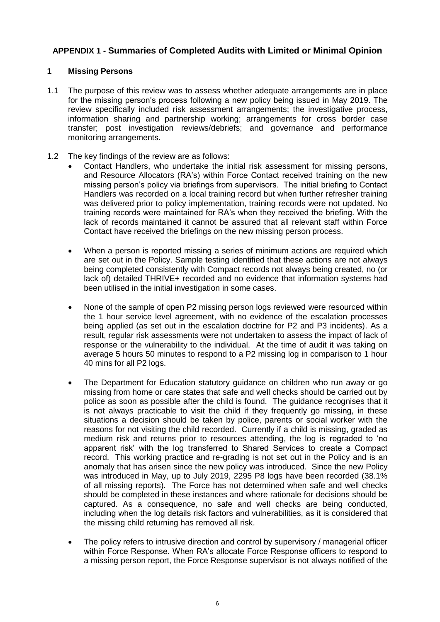## **APPENDIX 1 - Summaries of Completed Audits with Limited or Minimal Opinion**

#### **1 Missing Persons**

- 1.1 The purpose of this review was to assess whether adequate arrangements are in place for the missing person's process following a new policy being issued in May 2019. The review specifically included risk assessment arrangements; the investigative process, information sharing and partnership working; arrangements for cross border case transfer; post investigation reviews/debriefs; and governance and performance monitoring arrangements.
- 1.2 The key findings of the review are as follows:
	- Contact Handlers, who undertake the initial risk assessment for missing persons, and Resource Allocators (RA's) within Force Contact received training on the new missing person's policy via briefings from supervisors. The initial briefing to Contact Handlers was recorded on a local training record but when further refresher training was delivered prior to policy implementation, training records were not updated. No training records were maintained for RA's when they received the briefing. With the lack of records maintained it cannot be assured that all relevant staff within Force Contact have received the briefings on the new missing person process.
	- When a person is reported missing a series of minimum actions are required which are set out in the Policy. Sample testing identified that these actions are not always being completed consistently with Compact records not always being created, no (or lack of) detailed THRIVE+ recorded and no evidence that information systems had been utilised in the initial investigation in some cases.
	- None of the sample of open P2 missing person logs reviewed were resourced within the 1 hour service level agreement, with no evidence of the escalation processes being applied (as set out in the escalation doctrine for P2 and P3 incidents). As a result, regular risk assessments were not undertaken to assess the impact of lack of response or the vulnerability to the individual. At the time of audit it was taking on average 5 hours 50 minutes to respond to a P2 missing log in comparison to 1 hour 40 mins for all P2 logs.
	- The Department for Education statutory guidance on children who run away or go missing from home or care states that safe and well checks should be carried out by police as soon as possible after the child is found. The guidance recognises that it is not always practicable to visit the child if they frequently go missing, in these situations a decision should be taken by police, parents or social worker with the reasons for not visiting the child recorded. Currently if a child is missing, graded as medium risk and returns prior to resources attending, the log is regraded to 'no apparent risk' with the log transferred to Shared Services to create a Compact record. This working practice and re-grading is not set out in the Policy and is an anomaly that has arisen since the new policy was introduced. Since the new Policy was introduced in May, up to July 2019, 2295 P8 logs have been recorded (38.1% of all missing reports). The Force has not determined when safe and well checks should be completed in these instances and where rationale for decisions should be captured. As a consequence, no safe and well checks are being conducted, including when the log details risk factors and vulnerabilities, as it is considered that the missing child returning has removed all risk.
	- The policy refers to intrusive direction and control by supervisory / managerial officer within Force Response. When RA's allocate Force Response officers to respond to a missing person report, the Force Response supervisor is not always notified of the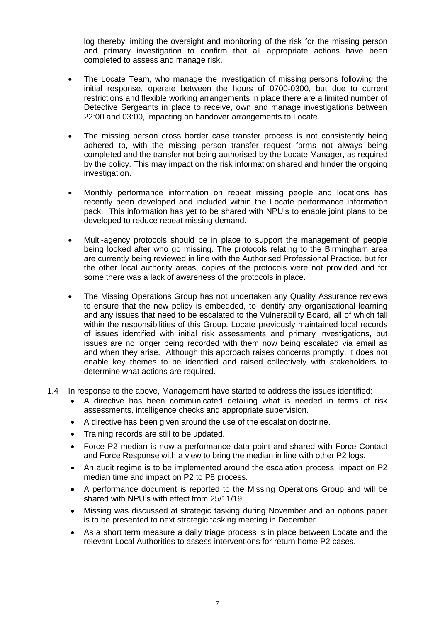log thereby limiting the oversight and monitoring of the risk for the missing person and primary investigation to confirm that all appropriate actions have been completed to assess and manage risk.

- The Locate Team, who manage the investigation of missing persons following the initial response, operate between the hours of 0700-0300, but due to current restrictions and flexible working arrangements in place there are a limited number of Detective Sergeants in place to receive, own and manage investigations between 22:00 and 03:00, impacting on handover arrangements to Locate.
- The missing person cross border case transfer process is not consistently being adhered to, with the missing person transfer request forms not always being completed and the transfer not being authorised by the Locate Manager, as required by the policy. This may impact on the risk information shared and hinder the ongoing investigation.
- Monthly performance information on repeat missing people and locations has recently been developed and included within the Locate performance information pack. This information has yet to be shared with NPU's to enable joint plans to be developed to reduce repeat missing demand.
- Multi-agency protocols should be in place to support the management of people being looked after who go missing. The protocols relating to the Birmingham area are currently being reviewed in line with the Authorised Professional Practice, but for the other local authority areas, copies of the protocols were not provided and for some there was a lack of awareness of the protocols in place.
- The Missing Operations Group has not undertaken any Quality Assurance reviews to ensure that the new policy is embedded, to identify any organisational learning and any issues that need to be escalated to the Vulnerability Board, all of which fall within the responsibilities of this Group. Locate previously maintained local records of issues identified with initial risk assessments and primary investigations, but issues are no longer being recorded with them now being escalated via email as and when they arise. Although this approach raises concerns promptly, it does not enable key themes to be identified and raised collectively with stakeholders to determine what actions are required.
- 1.4 In response to the above, Management have started to address the issues identified:
	- A directive has been communicated detailing what is needed in terms of risk assessments, intelligence checks and appropriate supervision.
	- A directive has been given around the use of the escalation doctrine.
	- Training records are still to be updated.
	- Force P2 median is now a performance data point and shared with Force Contact and Force Response with a view to bring the median in line with other P2 logs.
	- An audit regime is to be implemented around the escalation process, impact on P2 median time and impact on P2 to P8 process.
	- A performance document is reported to the Missing Operations Group and will be shared with NPU's with effect from 25/11/19.
	- Missing was discussed at strategic tasking during November and an options paper is to be presented to next strategic tasking meeting in December.
	- As a short term measure a daily triage process is in place between Locate and the relevant Local Authorities to assess interventions for return home P2 cases.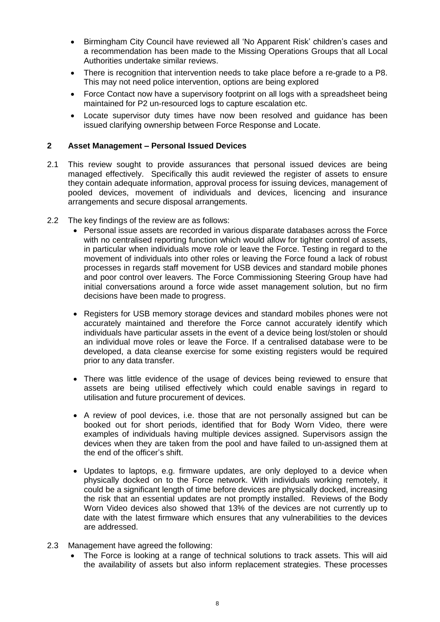- Birmingham City Council have reviewed all 'No Apparent Risk' children's cases and a recommendation has been made to the Missing Operations Groups that all Local Authorities undertake similar reviews.
- There is recognition that intervention needs to take place before a re-grade to a P8. This may not need police intervention, options are being explored
- Force Contact now have a supervisory footprint on all logs with a spreadsheet being maintained for P2 un-resourced logs to capture escalation etc.
- Locate supervisor duty times have now been resolved and guidance has been issued clarifying ownership between Force Response and Locate.

#### **2 Asset Management – Personal Issued Devices**

- 2.1 This review sought to provide assurances that personal issued devices are being managed effectively. Specifically this audit reviewed the register of assets to ensure they contain adequate information, approval process for issuing devices, management of pooled devices, movement of individuals and devices, licencing and insurance arrangements and secure disposal arrangements.
- 2.2 The key findings of the review are as follows:
	- Personal issue assets are recorded in various disparate databases across the Force with no centralised reporting function which would allow for tighter control of assets, in particular when individuals move role or leave the Force. Testing in regard to the movement of individuals into other roles or leaving the Force found a lack of robust processes in regards staff movement for USB devices and standard mobile phones and poor control over leavers. The Force Commissioning Steering Group have had initial conversations around a force wide asset management solution, but no firm decisions have been made to progress.
	- Registers for USB memory storage devices and standard mobiles phones were not accurately maintained and therefore the Force cannot accurately identify which individuals have particular assets in the event of a device being lost/stolen or should an individual move roles or leave the Force. If a centralised database were to be developed, a data cleanse exercise for some existing registers would be required prior to any data transfer.
	- There was little evidence of the usage of devices being reviewed to ensure that assets are being utilised effectively which could enable savings in regard to utilisation and future procurement of devices.
	- A review of pool devices, i.e. those that are not personally assigned but can be booked out for short periods, identified that for Body Worn Video, there were examples of individuals having multiple devices assigned. Supervisors assign the devices when they are taken from the pool and have failed to un-assigned them at the end of the officer's shift.
	- Updates to laptops, e.g. firmware updates, are only deployed to a device when physically docked on to the Force network. With individuals working remotely, it could be a significant length of time before devices are physically docked, increasing the risk that an essential updates are not promptly installed. Reviews of the Body Worn Video devices also showed that 13% of the devices are not currently up to date with the latest firmware which ensures that any vulnerabilities to the devices are addressed.
- 2.3 Management have agreed the following:
	- The Force is looking at a range of technical solutions to track assets. This will aid the availability of assets but also inform replacement strategies. These processes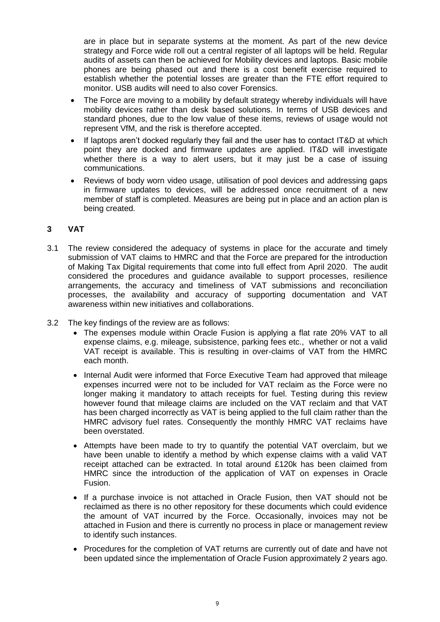are in place but in separate systems at the moment. As part of the new device strategy and Force wide roll out a central register of all laptops will be held. Regular audits of assets can then be achieved for Mobility devices and laptops. Basic mobile phones are being phased out and there is a cost benefit exercise required to establish whether the potential losses are greater than the FTE effort required to monitor. USB audits will need to also cover Forensics.

- The Force are moving to a mobility by default strategy whereby individuals will have mobility devices rather than desk based solutions. In terms of USB devices and standard phones, due to the low value of these items, reviews of usage would not represent VfM, and the risk is therefore accepted.
- If laptops aren't docked regularly they fail and the user has to contact IT&D at which point they are docked and firmware updates are applied. IT&D will investigate whether there is a way to alert users, but it may just be a case of issuing communications.
- Reviews of body worn video usage, utilisation of pool devices and addressing gaps in firmware updates to devices, will be addressed once recruitment of a new member of staff is completed. Measures are being put in place and an action plan is being created.

## **3 VAT**

- 3.1 The review considered the adequacy of systems in place for the accurate and timely submission of VAT claims to HMRC and that the Force are prepared for the introduction of Making Tax Digital requirements that come into full effect from April 2020. The audit considered the procedures and guidance available to support processes, resilience arrangements, the accuracy and timeliness of VAT submissions and reconciliation processes, the availability and accuracy of supporting documentation and VAT awareness within new initiatives and collaborations.
- 3.2 The key findings of the review are as follows:
	- The expenses module within Oracle Fusion is applying a flat rate 20% VAT to all expense claims, e.g. mileage, subsistence, parking fees etc., whether or not a valid VAT receipt is available. This is resulting in over-claims of VAT from the HMRC each month.
	- Internal Audit were informed that Force Executive Team had approved that mileage expenses incurred were not to be included for VAT reclaim as the Force were no longer making it mandatory to attach receipts for fuel. Testing during this review however found that mileage claims are included on the VAT reclaim and that VAT has been charged incorrectly as VAT is being applied to the full claim rather than the HMRC advisory fuel rates. Consequently the monthly HMRC VAT reclaims have been overstated.
	- Attempts have been made to try to quantify the potential VAT overclaim, but we have been unable to identify a method by which expense claims with a valid VAT receipt attached can be extracted. In total around £120k has been claimed from HMRC since the introduction of the application of VAT on expenses in Oracle Fusion.
	- If a purchase invoice is not attached in Oracle Fusion, then VAT should not be reclaimed as there is no other repository for these documents which could evidence the amount of VAT incurred by the Force. Occasionally, invoices may not be attached in Fusion and there is currently no process in place or management review to identify such instances.
	- Procedures for the completion of VAT returns are currently out of date and have not been updated since the implementation of Oracle Fusion approximately 2 years ago.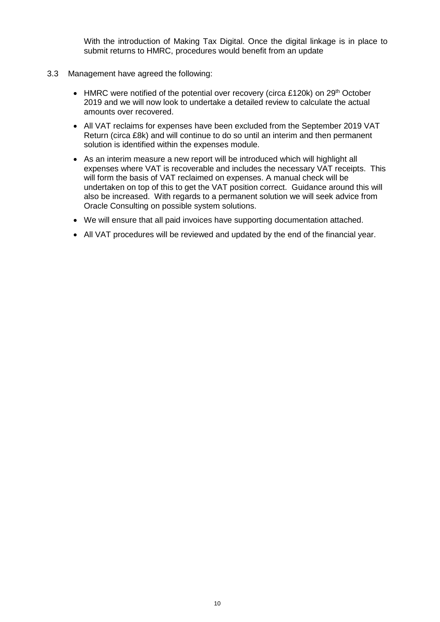With the introduction of Making Tax Digital. Once the digital linkage is in place to submit returns to HMRC, procedures would benefit from an update

- 3.3 Management have agreed the following:
	- HMRC were notified of the potential over recovery (circa £120k) on 29<sup>th</sup> October 2019 and we will now look to undertake a detailed review to calculate the actual amounts over recovered.
	- All VAT reclaims for expenses have been excluded from the September 2019 VAT Return (circa £8k) and will continue to do so until an interim and then permanent solution is identified within the expenses module.
	- As an interim measure a new report will be introduced which will highlight all expenses where VAT is recoverable and includes the necessary VAT receipts. This will form the basis of VAT reclaimed on expenses. A manual check will be undertaken on top of this to get the VAT position correct. Guidance around this will also be increased. With regards to a permanent solution we will seek advice from Oracle Consulting on possible system solutions.
	- We will ensure that all paid invoices have supporting documentation attached.
	- All VAT procedures will be reviewed and updated by the end of the financial year.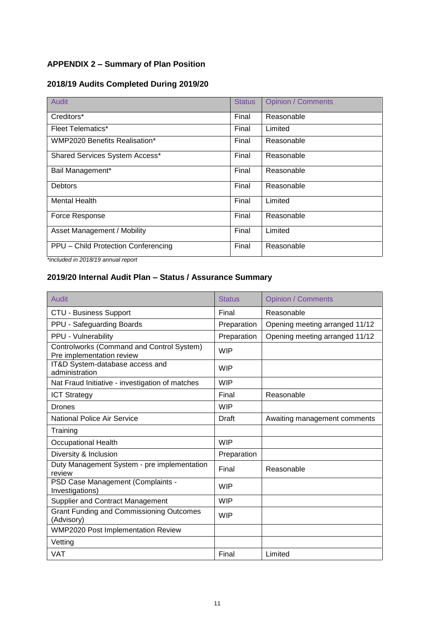# **APPENDIX 2 – Summary of Plan Position**

# **2018/19 Audits Completed During 2019/20**

| <b>Audit</b>                         | <b>Status</b> | <b>Opinion / Comments</b> |
|--------------------------------------|---------------|---------------------------|
| Creditors*                           | Final         | Reasonable                |
| <b>Fleet Telematics*</b>             | Final         | Limited                   |
| <b>WMP2020 Benefits Realisation*</b> | Final         | Reasonable                |
| Shared Services System Access*       | Final         | Reasonable                |
| Bail Management*                     | Final         | Reasonable                |
| <b>Debtors</b>                       | Final         | Reasonable                |
| <b>Mental Health</b>                 | Final         | Limited                   |
| Force Response                       | Final         | Reasonable                |
| Asset Management / Mobility          | Final         | Limited                   |
| PPU - Child Protection Conferencing  | Final         | Reasonable                |

*\*included in 2018/19 annual report*

# **2019/20 Internal Audit Plan – Status / Assurance Summary**

| Audit                                                                  | <b>Status</b> | <b>Opinion / Comments</b>      |
|------------------------------------------------------------------------|---------------|--------------------------------|
| <b>CTU - Business Support</b>                                          | Final         | Reasonable                     |
| PPU - Safeguarding Boards                                              | Preparation   | Opening meeting arranged 11/12 |
| PPU - Vulnerability                                                    | Preparation   | Opening meeting arranged 11/12 |
| Controlworks (Command and Control System)<br>Pre implementation review | <b>WIP</b>    |                                |
| IT&D System-database access and<br>administration                      | <b>WIP</b>    |                                |
| Nat Fraud Initiative - investigation of matches                        | <b>WIP</b>    |                                |
| <b>ICT Strategy</b>                                                    | Final         | Reasonable                     |
| <b>Drones</b>                                                          | <b>WIP</b>    |                                |
| <b>National Police Air Service</b>                                     | Draft         | Awaiting management comments   |
| Training                                                               |               |                                |
| <b>Occupational Health</b>                                             | <b>WIP</b>    |                                |
| Diversity & Inclusion                                                  | Preparation   |                                |
| Duty Management System - pre implementation<br>review                  | Final         | Reasonable                     |
| PSD Case Management (Complaints -<br>Investigations)                   | <b>WIP</b>    |                                |
| <b>Supplier and Contract Management</b>                                | <b>WIP</b>    |                                |
| <b>Grant Funding and Commissioning Outcomes</b><br>(Advisory)          | <b>WIP</b>    |                                |
| <b>WMP2020 Post Implementation Review</b>                              |               |                                |
| Vetting                                                                |               |                                |
| <b>VAT</b>                                                             | Final         | Limited                        |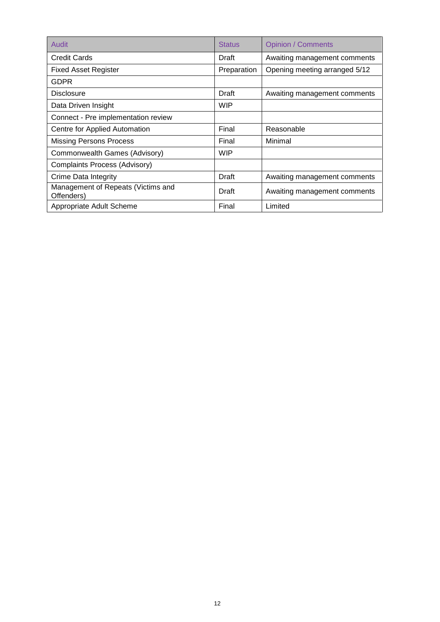| Audit                                            | <b>Status</b> | <b>Opinion / Comments</b>     |
|--------------------------------------------------|---------------|-------------------------------|
| Credit Cards                                     | Draft         | Awaiting management comments  |
| <b>Fixed Asset Register</b>                      | Preparation   | Opening meeting arranged 5/12 |
| GDPR                                             |               |                               |
| <b>Disclosure</b>                                | Draft         | Awaiting management comments  |
| Data Driven Insight                              | WIP           |                               |
| Connect - Pre implementation review              |               |                               |
| Centre for Applied Automation                    | Final         | Reasonable                    |
| <b>Missing Persons Process</b>                   | Final         | Minimal                       |
| Commonwealth Games (Advisory)                    | WIP           |                               |
| Complaints Process (Advisory)                    |               |                               |
| Crime Data Integrity                             | Draft         | Awaiting management comments  |
| Management of Repeats (Victims and<br>Offenders) | Draft         | Awaiting management comments  |
| Appropriate Adult Scheme                         | Final         | Limited                       |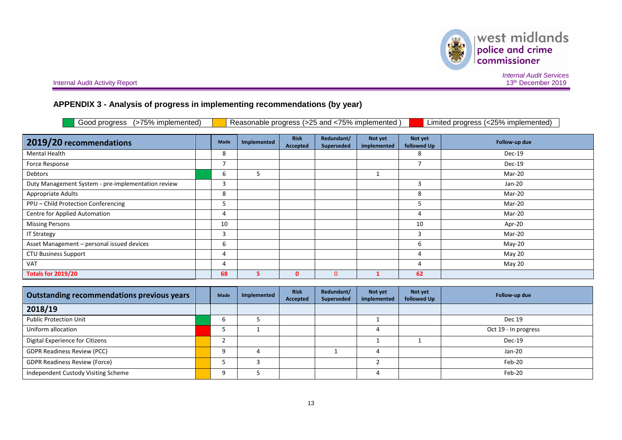west midlands police and crime<br>commissioner

美

*Internal Audit Services*

# **APPENDIX 3 - Analysis of progress in implementing recommendations (by year)**

| (>75% implemented)<br>Good progress                |  |             | Reasonable progress (>25 and <75% implemented) |                                |                          |                        |                        | Limited progress (<25% implemented) |
|----------------------------------------------------|--|-------------|------------------------------------------------|--------------------------------|--------------------------|------------------------|------------------------|-------------------------------------|
| 2019/20 recommendations                            |  | Made        | Implemented                                    | <b>Risk</b><br><b>Accepted</b> | Redundant/<br>Superseded | Not yet<br>implemented | Not yet<br>followed Up | Follow-up due                       |
| Mental Health                                      |  | 8           |                                                |                                |                          |                        | 8                      | $Dec-19$                            |
| Force Response                                     |  | 7           |                                                |                                |                          |                        | $\overline{7}$         | Dec-19                              |
| Debtors                                            |  | 6           | 5                                              |                                |                          | 1                      |                        | Mar-20                              |
| Duty Management System - pre-implementation review |  | 3           |                                                |                                |                          |                        | 3                      | Jan-20                              |
| Appropriate Adults                                 |  | 8           |                                                |                                |                          |                        | 8                      | Mar-20                              |
| PPU - Child Protection Conferencing                |  | 5           |                                                |                                |                          |                        | 5                      | Mar-20                              |
| Centre for Applied Automation                      |  | 4           |                                                |                                |                          |                        | 4                      | Mar-20                              |
| <b>Missing Persons</b>                             |  | 10          |                                                |                                |                          |                        | 10                     | Apr-20                              |
| <b>IT Strategy</b>                                 |  | 3           |                                                |                                |                          |                        | 3                      | Mar-20                              |
| Asset Management - personal issued devices         |  | 6           |                                                |                                |                          |                        | 6                      | $May-20$                            |
| <b>CTU Business Support</b>                        |  | 4           |                                                |                                |                          |                        | 4                      | May 20                              |
| <b>VAT</b>                                         |  | 4           |                                                |                                |                          |                        | 4                      | May 20                              |
| <b>Totals for 2019/20</b>                          |  | 68          | 5                                              | $\mathbf{0}$                   | $\Omega$                 | 1                      | 62                     |                                     |
|                                                    |  |             |                                                |                                |                          |                        |                        |                                     |
| <b>Outstanding recommendations previous years</b>  |  | <b>Made</b> | Implemented                                    | <b>Risk</b><br>Accepted        | Redundant/<br>Superseded | Not yet<br>implemented | Not yet<br>followed Up | Follow-up due                       |

| Outstanding recommendations previous years | Made | Implemented | - 1138<br>Accepted | neuunuanu<br>Superseded | <b>NOTA</b><br>implemented | <b>IVOL YEL</b><br>followed Up | Follow-up due        |
|--------------------------------------------|------|-------------|--------------------|-------------------------|----------------------------|--------------------------------|----------------------|
| 2018/19                                    |      |             |                    |                         |                            |                                |                      |
| <b>Public Protection Unit</b>              | b    |             |                    |                         |                            |                                | <b>Dec 19</b>        |
| Uniform allocation                         |      |             |                    |                         |                            |                                | Oct 19 - In progress |
| Digital Experience for Citizens            |      |             |                    |                         |                            |                                | $Dec-19$             |
| <b>GDPR Readiness Review (PCC)</b>         | a    |             |                    |                         |                            |                                | $Jan-20$             |
| <b>GDPR Readiness Review (Force)</b>       |      |             |                    |                         |                            |                                | Feb-20               |
| Independent Custody Visiting Scheme        | Q    |             |                    |                         |                            |                                | Feb-20               |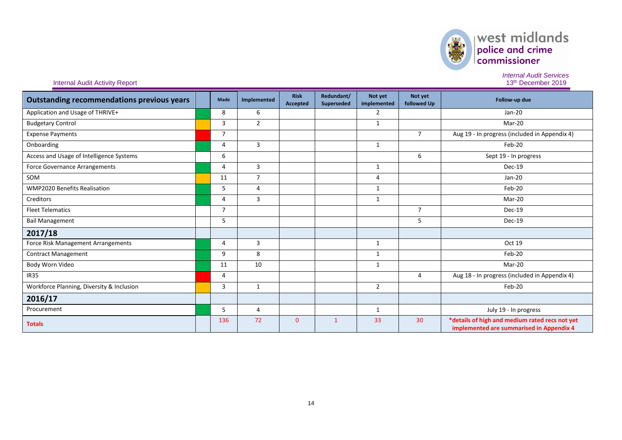

# $\left\vert \text{west midlands}\right\vert _{\text{conmissioner}}$

*Internal Audit Services*

| <b>Outstanding recommendations previous years</b> | Made           | Implemented    | <b>Risk</b><br><b>Accepted</b> | Redundant/<br>Superseded | Not yet<br>implemented | Not yet<br>followed Up | Follow-up due                                                                              |
|---------------------------------------------------|----------------|----------------|--------------------------------|--------------------------|------------------------|------------------------|--------------------------------------------------------------------------------------------|
| Application and Usage of THRIVE+                  | 8              | 6              |                                |                          | 2                      |                        | $Jan-20$                                                                                   |
| <b>Budgetary Control</b>                          | 3              | $\overline{2}$ |                                |                          | $\mathbf{1}$           |                        | Mar-20                                                                                     |
| <b>Expense Payments</b>                           | $\overline{7}$ |                |                                |                          |                        | $\overline{7}$         | Aug 19 - In progress (included in Appendix 4)                                              |
| Onboarding                                        | 4              | 3              |                                |                          | $\mathbf{1}$           |                        | Feb-20                                                                                     |
| Access and Usage of Intelligence Systems          | 6              |                |                                |                          |                        | 6                      | Sept 19 - In progress                                                                      |
| <b>Force Governance Arrangements</b>              | $\overline{4}$ | 3              |                                |                          | $\mathbf{1}$           |                        | Dec-19                                                                                     |
| SOM                                               | 11             | $\overline{7}$ |                                |                          | 4                      |                        | Jan-20                                                                                     |
| <b>WMP2020 Benefits Realisation</b>               | 5              | $\overline{4}$ |                                |                          | $\mathbf{1}$           |                        | Feb-20                                                                                     |
| Creditors                                         | 4              | 3              |                                |                          | $\mathbf{1}$           |                        | Mar-20                                                                                     |
| <b>Fleet Telematics</b>                           | $\overline{7}$ |                |                                |                          |                        | $\overline{7}$         | Dec-19                                                                                     |
| <b>Bail Management</b>                            | 5              |                |                                |                          |                        | 5                      | Dec-19                                                                                     |
| 2017/18                                           |                |                |                                |                          |                        |                        |                                                                                            |
| Force Risk Management Arrangements                | 4              | 3              |                                |                          | $\mathbf{1}$           |                        | Oct 19                                                                                     |
| <b>Contract Management</b>                        | 9              | 8              |                                |                          | 1                      |                        | Feb-20                                                                                     |
| Body Worn Video                                   | 11             | 10             |                                |                          | 1                      |                        | Mar-20                                                                                     |
| <b>IR35</b>                                       | 4              |                |                                |                          |                        | 4                      | Aug 18 - In progress (included in Appendix 4)                                              |
| Workforce Planning, Diversity & Inclusion         | 3              | 1              |                                |                          | $\overline{2}$         |                        | Feb-20                                                                                     |
| 2016/17                                           |                |                |                                |                          |                        |                        |                                                                                            |
| Procurement                                       | 5              | $\overline{4}$ |                                |                          | $\mathbf{1}$           |                        | July 19 - In progress                                                                      |
| <b>Totals</b>                                     | 136            | 72             | $\overline{0}$                 | $\overline{1}$           | 33                     | 30                     | *details of high and medium rated recs not yet<br>implemented are summarised in Appendix 4 |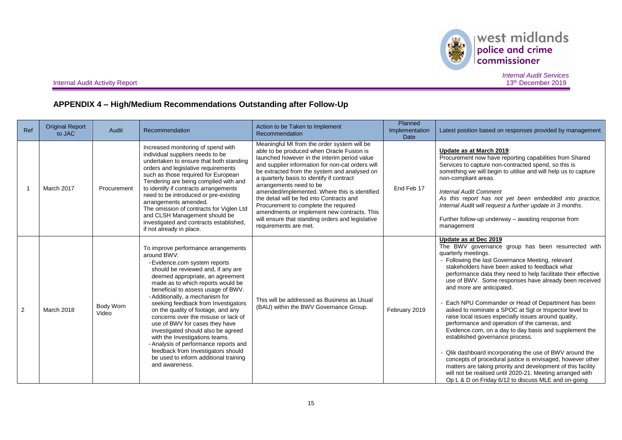

 $\begin{array}{|l|} \hline \textbf{west midlands} \\ \hline \textbf{policy and crime} \\ \textbf{commissioner} \end{array}$ 

**Internal Audit Activity Report** 

*Internal Audit Services*

# **APPENDIX 4 – High/Medium Recommendations Outstanding after Follow-Up**

| Ref            | <b>Original Report</b><br>to JAC | Audit              | Recommendation                                                                                                                                                                                                                                                                                                                                                                                                                                                                                                                                                                                                                                      | Action to be Taken to Implement<br>Recommendation                                                                                                                                                                                                                                                                                                                                                                                                                                                                                                                                      | <b>Planned</b><br>Implementation<br><b>Date</b> | Latest position based on responses provided by management                                                                                                                                                                                                                                                                                                                                                                                                                                                                                                                                                                                                                                                                                                                                                                                                                                                                                                                                       |
|----------------|----------------------------------|--------------------|-----------------------------------------------------------------------------------------------------------------------------------------------------------------------------------------------------------------------------------------------------------------------------------------------------------------------------------------------------------------------------------------------------------------------------------------------------------------------------------------------------------------------------------------------------------------------------------------------------------------------------------------------------|----------------------------------------------------------------------------------------------------------------------------------------------------------------------------------------------------------------------------------------------------------------------------------------------------------------------------------------------------------------------------------------------------------------------------------------------------------------------------------------------------------------------------------------------------------------------------------------|-------------------------------------------------|-------------------------------------------------------------------------------------------------------------------------------------------------------------------------------------------------------------------------------------------------------------------------------------------------------------------------------------------------------------------------------------------------------------------------------------------------------------------------------------------------------------------------------------------------------------------------------------------------------------------------------------------------------------------------------------------------------------------------------------------------------------------------------------------------------------------------------------------------------------------------------------------------------------------------------------------------------------------------------------------------|
|                | March 2017                       | Procurement        | Increased monitoring of spend with<br>individual suppliers needs to be<br>undertaken to ensure that both standing<br>orders and legislative requirements<br>such as those required for European<br>Tendering are being complied with and<br>to identify if contracts arrangements<br>need to be introduced or pre-existing<br>arrangements amended.<br>The omission of contracts for Viglen Ltd<br>and CLSH Management should be<br>investigated and contracts established,<br>if not already in place.                                                                                                                                             | Meaningful MI from the order system will be<br>able to be produced when Oracle Fusion is<br>launched however in the interim period value<br>and supplier information for non-cat orders will<br>be extracted from the system and analysed on<br>a quarterly basis to identify if contract<br>arrangements need to be<br>amended/implemented. Where this is identified<br>the detail will be fed into Contracts and<br>Procurement to complete the required<br>amendments or implement new contracts. This<br>will ensure that standing orders and legislative<br>requirements are met. | End Feb 17                                      | Update as at March 2019:<br>Procurement now have reporting capabilities from Shared<br>Services to capture non-contracted spend, so this is<br>something we will begin to utilise and will help us to capture<br>non-compliant areas.<br><b>Internal Audit Comment</b><br>As this report has not yet been embedded into practice,<br>Internal Audit will request a further update in 3 months.<br>Further follow-up underway - awaiting response from<br>management                                                                                                                                                                                                                                                                                                                                                                                                                                                                                                                             |
| $\overline{2}$ | <b>March 2018</b>                | Body Worn<br>Video | To improve performance arrangements<br>around BWV:<br>- Evidence.com system reports<br>should be reviewed and, if any are<br>deemed appropriate, an agreement<br>made as to which reports would be<br>beneficial to assess usage of BWV.<br>- Additionally, a mechanism for<br>seeking feedback from Investigators<br>on the quality of footage, and any<br>concerns over the misuse or lack of<br>use of BWV for cases they have<br>investigated should also be agreed<br>with the Investigations teams.<br>- Analysis of performance reports and<br>feedback from Investigators should<br>be used to inform additional training<br>and awareness. | This will be addressed as Business as Usual<br>(BAU) within the BWV Governance Group.                                                                                                                                                                                                                                                                                                                                                                                                                                                                                                  | February 2019                                   | Update as at Dec 2019<br>The BWV governance group has been resurrected with<br>quarterly meetings.<br>- Following the last Governance Meeting, relevant<br>stakeholders have been asked to feedback what<br>performance data they need to help facilitate their effective<br>use of BWV. Some responses have already been received<br>and more are anticipated.<br>Each NPU Commander or Head of Department has been<br>asked to nominate a SPOC at Sgt or Inspector level to<br>raise local issues especially issues around quality,<br>performance and operation of the cameras, and<br>Evidence.com, on a day to day basis and supplement the<br>established governance process.<br>Qlik dashboard incorporating the use of BWV around the<br>concepts of procedural justice is envisaged, however other<br>matters are taking priority and development of this facility<br>will not be realised until 2020-21. Meeting arranged with<br>Op L & D on Friday 6/12 to discuss MLE and on-going |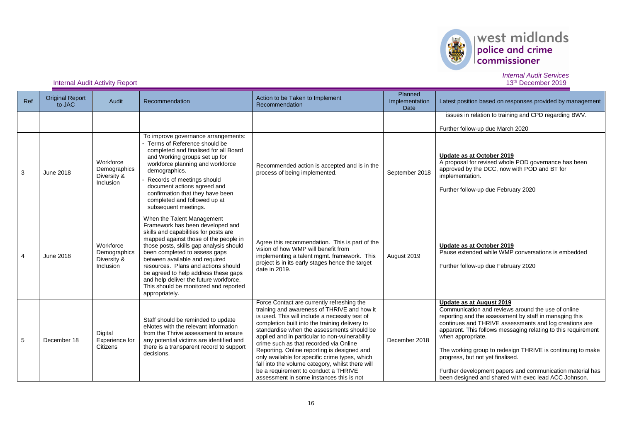

# $\begin{array}{|l|} \hline \textbf{west midlands} \\ \hline \textbf{policy and crime} \\ \textbf{commissioner} \end{array}$

*Internal Audit Services*

| Ref            | <b>Original Report</b><br>to JAC | Audit                                                 | Recommendation                                                                                                                                                                                                                                                                                                                                                                                                                                     | Action to be Taken to Implement<br>Recommendation                                                                                                                                                                                                                                                                                                                                                                                                                                                                                                                                | Planned<br>Implementation<br><b>Date</b> | Latest position based on responses provided by management                                                                                                                                                                                                                                                                                                                                                                                                                                                       |
|----------------|----------------------------------|-------------------------------------------------------|----------------------------------------------------------------------------------------------------------------------------------------------------------------------------------------------------------------------------------------------------------------------------------------------------------------------------------------------------------------------------------------------------------------------------------------------------|----------------------------------------------------------------------------------------------------------------------------------------------------------------------------------------------------------------------------------------------------------------------------------------------------------------------------------------------------------------------------------------------------------------------------------------------------------------------------------------------------------------------------------------------------------------------------------|------------------------------------------|-----------------------------------------------------------------------------------------------------------------------------------------------------------------------------------------------------------------------------------------------------------------------------------------------------------------------------------------------------------------------------------------------------------------------------------------------------------------------------------------------------------------|
|                |                                  |                                                       |                                                                                                                                                                                                                                                                                                                                                                                                                                                    |                                                                                                                                                                                                                                                                                                                                                                                                                                                                                                                                                                                  |                                          | issues in relation to training and CPD regarding BWV.<br>Further follow-up due March 2020                                                                                                                                                                                                                                                                                                                                                                                                                       |
| 3              | <b>June 2018</b>                 | Workforce<br>Demographics<br>Diversity &<br>Inclusion | To improve governance arrangements:<br>- Terms of Reference should be<br>completed and finalised for all Board<br>and Working groups set up for<br>workforce planning and workforce<br>demographics.<br>Records of meetings should<br>document actions agreed and<br>confirmation that they have been<br>completed and followed up at<br>subsequent meetings.                                                                                      | Recommended action is accepted and is in the<br>process of being implemented.                                                                                                                                                                                                                                                                                                                                                                                                                                                                                                    | September 2018                           | Update as at October 2019<br>A proposal for revised whole POD governance has been<br>approved by the DCC, now with POD and BT for<br>implementation.<br>Further follow-up due February 2020                                                                                                                                                                                                                                                                                                                     |
| $\overline{4}$ | June 2018                        | Workforce<br>Demographics<br>Diversity &<br>Inclusion | When the Talent Management<br>Framework has been developed and<br>skills and capabilities for posts are<br>mapped against those of the people in<br>those posts, skills gap analysis should<br>been completed to assess gaps<br>between available and required<br>resources. Plans and actions should<br>be agreed to help address these gaps<br>and help deliver the future workforce.<br>This should be monitored and reported<br>appropriately. | Agree this recommendation. This is part of the<br>vision of how WMP will benefit from<br>implementing a talent mgmt. framework. This<br>project is in its early stages hence the target<br>date in 2019.                                                                                                                                                                                                                                                                                                                                                                         | August 2019                              | Update as at October 2019<br>Pause extended while WMP conversations is embedded<br>Further follow-up due February 2020                                                                                                                                                                                                                                                                                                                                                                                          |
| 5              | December 18                      | Digital<br>Experience for<br>Citizens                 | Staff should be reminded to update<br>eNotes with the relevant information<br>from the Thrive assessment to ensure<br>any potential victims are identified and<br>there is a transparent record to support<br>decisions.                                                                                                                                                                                                                           | Force Contact are currently refreshing the<br>training and awareness of THRIVE and how it<br>is used. This will include a necessity test of<br>completion built into the training delivery to<br>standardise when the assessments should be<br>applied and in particular to non-vulnerability<br>crime such as that recorded via Online<br>Reporting. Online reporting is designed and<br>only available for specific crime types, which<br>fall into the volume category, whilst there will<br>be a requirement to conduct a THRIVE<br>assessment in some instances this is not | December 2018                            | Update as at August 2019<br>Communication and reviews around the use of online<br>reporting and the assessment by staff in managing this<br>continues and THRIVE assessments and log creations are<br>apparent. This follows messaging relating to this requirement<br>when appropriate.<br>The working group to redesign THRIVE is continuing to make<br>progress, but not yet finalised.<br>Further development papers and communication material has<br>been designed and shared with exec lead ACC Johnson. |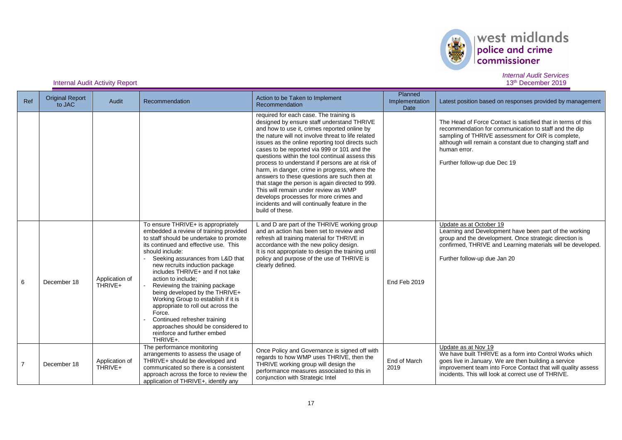

# west midlands police and crime .<br>commissioner

*Internal Audit Services*

#### **Internal Audit Activity Report**

Ref | Original Report<br>to JAC Audit Recommendation Audit Recommendation Recommendation Recommendation Planned Implementation Date Latest position based on responses provided by management required for each case. The training is designed by ensure staff understand THRIVE and how to use it, crimes reported online by the nature will not involve threat to life related issues as the online reporting tool directs such cases to be reported via 999 or 101 and the questions within the tool continual assess this process to understand if persons are at risk of harm, in danger, crime in progress, where the answers to these questions are such then at that stage the person is again directed to 999. This will remain under review as WMP develops processes for more crimes and incidents and will continually feature in the build of these. The Head of Force Contact is satisfied that in terms of this recommendation for communication to staff and the dip sampling of THRIVE assessment for OIR is complete, although will remain a constant due to changing staff and human error. Further follow-up due Dec 19 <sup>6</sup> December <sup>18</sup> Application of THRIVE+ To ensure THRIVE+ is appropriately embedded a review of training provided to staff should be undertake to promote its continued and effective use. This should include: - Seeking assurances from L&D that new recruits induction package includes THRIVE+ and if not take action to include; Reviewing the training package being developed by the THRIVE+ Working Group to establish if it is appropriate to roll out across the Force. Continued refresher training approaches should be considered to reinforce and further embed THRIVE+. L and D are part of the THRIVE working group and an action has been set to review and refresh all training material for THRIVE in accordance with the new policy design. It is not appropriate to design the training until policy and purpose of the use of THRIVE is clearly defined. End Feb 2019 Update as at October 19 Learning and Development have been part of the working group and the development. Once strategic direction is confirmed, THRIVE and Learning materials will be developed. Further follow-up due Jan 20 7 December 18 Application of THRIVE+ The performance monitoring arrangements to assess the usage of THRIVE+ should be developed and communicated so there is a consistent approach across the force to review the application of THRIVE+, identify any Once Policy and Governance is signed off with regards to how WMP uses THRIVE, then the THRIVE working group will design the performance measures associated to this in conjunction with Strategic Intel End of March 2019 Update as at Nov 19 We have built THRIVE as a form into Control Works which goes live in January. We are then building a service improvement team into Force Contact that will quality assess incidents. This will look at correct use of THRIVE.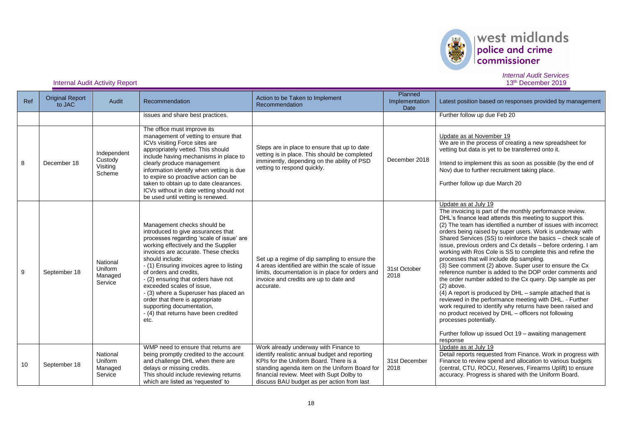

| Ref | <b>Original Report</b><br>to JAC | <b>Audit</b>                                 | Recommendation                                                                                                                                                                                                                                                                                                                                                                                                                                                                                                      | Action to be Taken to Implement<br>Recommendation                                                                                                                                                                                                                             | Planned<br>Implementation<br>Date | Latest position based on responses provided by management                                                                                                                                                                                                                                                                                                                                                                                                                                                                                                                                                                                                                                                                                                                                                                                                                                                                                                                                                                                                              |
|-----|----------------------------------|----------------------------------------------|---------------------------------------------------------------------------------------------------------------------------------------------------------------------------------------------------------------------------------------------------------------------------------------------------------------------------------------------------------------------------------------------------------------------------------------------------------------------------------------------------------------------|-------------------------------------------------------------------------------------------------------------------------------------------------------------------------------------------------------------------------------------------------------------------------------|-----------------------------------|------------------------------------------------------------------------------------------------------------------------------------------------------------------------------------------------------------------------------------------------------------------------------------------------------------------------------------------------------------------------------------------------------------------------------------------------------------------------------------------------------------------------------------------------------------------------------------------------------------------------------------------------------------------------------------------------------------------------------------------------------------------------------------------------------------------------------------------------------------------------------------------------------------------------------------------------------------------------------------------------------------------------------------------------------------------------|
|     |                                  |                                              | issues and share best practices.                                                                                                                                                                                                                                                                                                                                                                                                                                                                                    |                                                                                                                                                                                                                                                                               |                                   | Further follow up due Feb 20                                                                                                                                                                                                                                                                                                                                                                                                                                                                                                                                                                                                                                                                                                                                                                                                                                                                                                                                                                                                                                           |
| 8   | December 18                      | Independent<br>Custody<br>Visiting<br>Scheme | The office must improve its<br>management of vetting to ensure that<br>ICVs visiting Force sites are<br>appropriately vetted. This should<br>include having mechanisms in place to<br>clearly produce management<br>information identify when vetting is due<br>to expire so proactive action can be<br>taken to obtain up to date clearances.<br>ICVs without in date vetting should not<br>be used until vetting is renewed.                                                                                      | Steps are in place to ensure that up to date<br>vetting is in place. This should be completed<br>imminently, depending on the ability of PSD<br>vetting to respond quickly.                                                                                                   | December 2018                     | Update as at November 19<br>We are in the process of creating a new spreadsheet for<br>vetting but data is yet to be transferred onto it.<br>Intend to implement this as soon as possible (by the end of<br>Nov) due to further recruitment taking place.<br>Further follow up due March 20                                                                                                                                                                                                                                                                                                                                                                                                                                                                                                                                                                                                                                                                                                                                                                            |
| 9   | September 18                     | National<br>Uniform<br>Managed<br>Service    | Management checks should be<br>introduced to give assurances that<br>processes regarding 'scale of issue' are<br>working effectively and the Supplier<br>invoices are accurate. These checks<br>should include:<br>- (1) Ensuring invoices agree to listing<br>of orders and credits.<br>- (2) ensuring that orders have not<br>exceeded scales of issue.<br>- (3) where a Superuser has placed an<br>order that there is appropriate<br>supporting documentation,<br>- (4) that returns have been credited<br>etc. | Set up a regime of dip sampling to ensure the<br>4 areas identified are within the scale of issue<br>limits, documentation is in place for orders and<br>invoice and credits are up to date and<br>accurate.                                                                  | 31st October<br>2018              | Update as at July 19<br>The invoicing is part of the monthly performance review.<br>DHL's finance lead attends this meeting to support this.<br>(2) The team has identified a number of issues with incorrect<br>orders being raised by super users. Work is underway with<br>Shared Services (SS) to reinforce the basics – check scale of<br>issue, previous orders and Cx details - before ordering. I am<br>working with Ros Cole is SS to complete this and refine the<br>processes that will include dip sampling.<br>(3) See comment (2) above. Super user to ensure the Cx<br>reference number is added to the DOP order comments and<br>the order number added to the Cx query. Dip sample as per<br>$(2)$ above.<br>(4) A report is produced by DHL - sample attached that is<br>reviewed in the performance meeting with DHL. - Further<br>work required to identify why returns have been raised and<br>no product received by DHL - officers not following<br>processes potentially.<br>Further follow up issued Oct 19 - awaiting management<br>response |
| 10  | September 18                     | National<br>Uniform<br>Managed<br>Service    | WMP need to ensure that returns are<br>being promptly credited to the account<br>and challenge DHL when there are<br>delays or missing credits.<br>This should include reviewing returns<br>which are listed as 'requested' to                                                                                                                                                                                                                                                                                      | Work already underway with Finance to<br>identify realistic annual budget and reporting<br>KPIs for the Uniform Board. There is a<br>standing agenda item on the Uniform Board for<br>financial review. Meet with Supt Dolby to<br>discuss BAU budget as per action from last | 31st December<br>2018             | Update as at July 19<br>Detail reports requested from Finance. Work in progress with<br>Finance to review spend and allocation to various budgets<br>(central, CTU, ROCU, Reserves, Firearms Uplift) to ensure<br>accuracy. Progress is shared with the Uniform Board.                                                                                                                                                                                                                                                                                                                                                                                                                                                                                                                                                                                                                                                                                                                                                                                                 |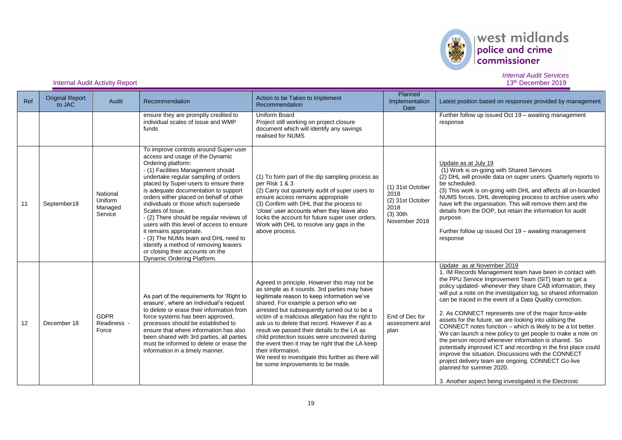

# west midlands

# *Internal Audit Services*

| Ref | <b>Original Report</b><br>to JAC | Audit                                     | Recommendation                                                                                                                                                                                                                                                                                                                                                                                                                                                                                                                                                                                                                             | Action to be Taken to Implement<br>Recommendation                                                                                                                                                                                                                                                                                                                                                                                                                                                                                                                                                          | Planned<br>Implementation<br>Date                                                   | Latest position based on responses provided by management                                                                                                                                                                                                                                                                                                                                                                                                                                                                                                                                                                                                                                                                                                                                                                                                                                                                 |
|-----|----------------------------------|-------------------------------------------|--------------------------------------------------------------------------------------------------------------------------------------------------------------------------------------------------------------------------------------------------------------------------------------------------------------------------------------------------------------------------------------------------------------------------------------------------------------------------------------------------------------------------------------------------------------------------------------------------------------------------------------------|------------------------------------------------------------------------------------------------------------------------------------------------------------------------------------------------------------------------------------------------------------------------------------------------------------------------------------------------------------------------------------------------------------------------------------------------------------------------------------------------------------------------------------------------------------------------------------------------------------|-------------------------------------------------------------------------------------|---------------------------------------------------------------------------------------------------------------------------------------------------------------------------------------------------------------------------------------------------------------------------------------------------------------------------------------------------------------------------------------------------------------------------------------------------------------------------------------------------------------------------------------------------------------------------------------------------------------------------------------------------------------------------------------------------------------------------------------------------------------------------------------------------------------------------------------------------------------------------------------------------------------------------|
|     |                                  |                                           | ensure they are promptly credited to<br>individual scales of issue and WMP<br>funds                                                                                                                                                                                                                                                                                                                                                                                                                                                                                                                                                        | Uniform Board<br>Project still working on project closure<br>document which will identify any savings<br>realised for NUMS                                                                                                                                                                                                                                                                                                                                                                                                                                                                                 |                                                                                     | Further follow up issued Oct 19 - awaiting management<br>response                                                                                                                                                                                                                                                                                                                                                                                                                                                                                                                                                                                                                                                                                                                                                                                                                                                         |
| 11  | September18                      | National<br>Uniform<br>Managed<br>Service | To improve controls around Super-user<br>access and usage of the Dynamic<br>Ordering platform:<br>- (1) Facilities Management should<br>undertake regular sampling of orders<br>placed by Super-users to ensure there<br>is adequate documentation to support<br>orders either placed on behalf of other<br>individuals or those which supersede<br>Scales of Issue.<br>- (2) There should be regular reviews of<br>users with this level of access to ensure<br>it remains appropriate.<br>- (3) The NUMs team and DHL need to<br>identify a method of removing leavers<br>or closing their accounts on the<br>Dynamic Ordering Platform. | (1) To form part of the dip sampling process as<br>per Risk 1 & 3<br>(2) Carry out quarterly audit of super users to<br>ensure access remains appropriate<br>(3) Confirm with DHL that the process to<br>'close' user accounts when they leave also<br>locks the account for future super user orders.<br>Work with DHL to resolve any gaps in the<br>above process.                                                                                                                                                                                                                                       | (1) 31st October<br>2018<br>(2) 31st October<br>2018<br>$(3)$ 30th<br>November 2018 | Update as at July 19<br>(1) Work is on-going with Shared Services<br>(2) DHL will provide data on super users. Quarterly reports to<br>be scheduled.<br>(3) This work is on-going with DHL and affects all on-boarded<br>NUMS forces. DHL developing process to archive users who<br>have left the organisation. This will remove them and the<br>details from the DOP, but retain the information for audit<br>purpose.<br>Further follow up issued Oct 19 - awaiting management<br>response                                                                                                                                                                                                                                                                                                                                                                                                                             |
| 12  | December 18                      | <b>GDPR</b><br>Readiness -<br>Force       | As part of the requirements for 'Right to<br>erasure', where an individual's request<br>to delete or erase their information from<br>force systems has been approved,<br>processes should be established to<br>ensure that where information has also<br>been shared with 3rd parties, all parties<br>must be informed to delete or erase the<br>information in a timely manner.                                                                                                                                                                                                                                                           | Agreed in principle. However this may not be<br>as simple as it sounds. 3rd parties may have<br>legitimate reason to keep information we've<br>shared. For example a person who we<br>arrested but subsequently turned out to be a<br>victim of a malicious allegation has the right to<br>ask us to delete that record. However if as a<br>result we passed their details to the LA as<br>child protection issues were uncovered during<br>the event then it may be right that the LA keep<br>their information.<br>We need to investigate this further as there will<br>be some improvements to be made. | End of Dec for<br>assessment and<br>plan                                            | Update as at November 2019<br>1. IM Records Management team have been in contact with<br>the PPU Service Improvement Team (SIT) team to get a<br>policy updated- whenever they share CAB information, they<br>will put a note on the investigation log, so shared information<br>can be traced in the event of a Data Quality correction.<br>2. As CONNECT represents one of the major force-wide<br>assets for the future, we are looking into utilising the<br>CONNECT notes function - which is likely to be a lot better.<br>We can launch a new policy to get people to make a note on<br>the person record whenever information is shared. So<br>potentially improved ICT and recording in the first place could<br>improve the situation. Discussions with the CONNECT<br>project delivery team are ongoing. CONNECT Go-live<br>planned for summer 2020.<br>3. Another aspect being investigated is the Electronic |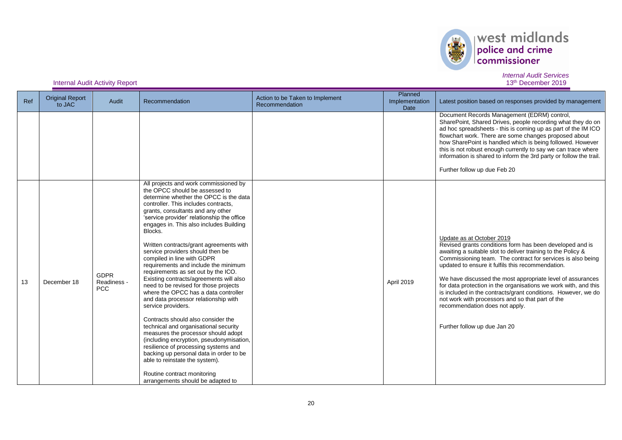

# $\left\vert \text{west midlands}\right\vert _{\text{conmissioner}}$

# *Internal Audit Services*

| Ref | <b>Original Report</b><br>to JAC | Audit                                    | Recommendation                                                                                                                                                                                                                                                                                                                                                                                                                                                                                                                                                                                                                                                                                                                                                                                                                                                                                                                                                                                                                                      | Action to be Taken to Implement<br>Recommendation | Planned<br>Implementation<br><b>Date</b> | Latest position based on responses provided by management                                                                                                                                                                                                                                                                                                                                                                                                                                                                                                                                         |
|-----|----------------------------------|------------------------------------------|-----------------------------------------------------------------------------------------------------------------------------------------------------------------------------------------------------------------------------------------------------------------------------------------------------------------------------------------------------------------------------------------------------------------------------------------------------------------------------------------------------------------------------------------------------------------------------------------------------------------------------------------------------------------------------------------------------------------------------------------------------------------------------------------------------------------------------------------------------------------------------------------------------------------------------------------------------------------------------------------------------------------------------------------------------|---------------------------------------------------|------------------------------------------|---------------------------------------------------------------------------------------------------------------------------------------------------------------------------------------------------------------------------------------------------------------------------------------------------------------------------------------------------------------------------------------------------------------------------------------------------------------------------------------------------------------------------------------------------------------------------------------------------|
|     |                                  |                                          |                                                                                                                                                                                                                                                                                                                                                                                                                                                                                                                                                                                                                                                                                                                                                                                                                                                                                                                                                                                                                                                     |                                                   |                                          | Document Records Management (EDRM) control,<br>SharePoint, Shared Drives, people recording what they do on<br>ad hoc spreadsheets - this is coming up as part of the IM ICO<br>flowchart work. There are some changes proposed about<br>how SharePoint is handled which is being followed. However<br>this is not robust enough currently to say we can trace where<br>information is shared to inform the 3rd party or follow the trail.<br>Further follow up due Feb 20                                                                                                                         |
| 13  | December 18                      | <b>GDPR</b><br>Readiness -<br><b>PCC</b> | All projects and work commissioned by<br>the OPCC should be assessed to<br>determine whether the OPCC is the data<br>controller. This includes contracts,<br>grants, consultants and any other<br>'service provider' relationship the office<br>engages in. This also includes Building<br>Blocks.<br>Written contracts/grant agreements with<br>service providers should then be<br>compiled in line with GDPR<br>requirements and include the minimum<br>requirements as set out by the ICO.<br>Existing contracts/agreements will also<br>need to be revised for those projects<br>where the OPCC has a data controller<br>and data processor relationship with<br>service providers.<br>Contracts should also consider the<br>technical and organisational security<br>measures the processor should adopt<br>(including encryption, pseudonymisation,<br>resilience of processing systems and<br>backing up personal data in order to be<br>able to reinstate the system).<br>Routine contract monitoring<br>arrangements should be adapted to |                                                   | April 2019                               | Update as at October 2019<br>Revised grants conditions form has been developed and is<br>awaiting a suitable slot to deliver training to the Policy &<br>Commissioning team. The contract for services is also being<br>updated to ensure it fulfils this recommendation.<br>We have discussed the most appropriate level of assurances<br>for data protection in the organisations we work with, and this<br>is included in the contracts/grant conditions. However, we do<br>not work with processors and so that part of the<br>recommendation does not apply.<br>Further follow up due Jan 20 |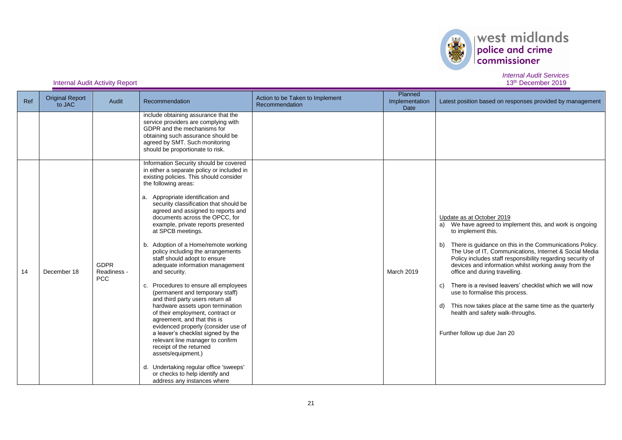

| Ref | <b>Original Report</b><br>to JAC | Audit                                    | Recommendation                                                                                                                                                                                                                                                                                                                                                                                                                                                                                                                                                                                                                                                                                                                                                                                                                                                                                                                                                                                                                                 | Action to be Taken to Implement<br>Recommendation | Planned<br>Implementation<br>Date | Latest position based on responses provided by management                                                                                                                                                                                                                                                                                                                                                                                                                                                                                                                                                                      |
|-----|----------------------------------|------------------------------------------|------------------------------------------------------------------------------------------------------------------------------------------------------------------------------------------------------------------------------------------------------------------------------------------------------------------------------------------------------------------------------------------------------------------------------------------------------------------------------------------------------------------------------------------------------------------------------------------------------------------------------------------------------------------------------------------------------------------------------------------------------------------------------------------------------------------------------------------------------------------------------------------------------------------------------------------------------------------------------------------------------------------------------------------------|---------------------------------------------------|-----------------------------------|--------------------------------------------------------------------------------------------------------------------------------------------------------------------------------------------------------------------------------------------------------------------------------------------------------------------------------------------------------------------------------------------------------------------------------------------------------------------------------------------------------------------------------------------------------------------------------------------------------------------------------|
|     |                                  |                                          | include obtaining assurance that the<br>service providers are complying with<br>GDPR and the mechanisms for<br>obtaining such assurance should be<br>agreed by SMT. Such monitoring<br>should be proportionate to risk.                                                                                                                                                                                                                                                                                                                                                                                                                                                                                                                                                                                                                                                                                                                                                                                                                        |                                                   |                                   |                                                                                                                                                                                                                                                                                                                                                                                                                                                                                                                                                                                                                                |
| 14  | December 18                      | <b>GDPR</b><br>Readiness -<br><b>PCC</b> | Information Security should be covered<br>in either a separate policy or included in<br>existing policies. This should consider<br>the following areas:<br>a. Appropriate identification and<br>security classification that should be<br>agreed and assigned to reports and<br>documents across the OPCC, for<br>example, private reports presented<br>at SPCB meetings.<br>b. Adoption of a Home/remote working<br>policy including the arrangements<br>staff should adopt to ensure<br>adequate information management<br>and security.<br>c. Procedures to ensure all employees<br>(permanent and temporary staff)<br>and third party users return all<br>hardware assets upon termination<br>of their employment, contract or<br>agreement, and that this is<br>evidenced properly (consider use of<br>a leaver's checklist signed by the<br>relevant line manager to confirm<br>receipt of the returned<br>assets/equipment.)<br>d. Undertaking regular office 'sweeps'<br>or checks to help identify and<br>address any instances where |                                                   | March 2019                        | Update as at October 2019<br>a) We have agreed to implement this, and work is ongoing<br>to implement this.<br>b) There is guidance on this in the Communications Policy.<br>The Use of IT, Communications, Internet & Social Media<br>Policy includes staff responsibility regarding security of<br>devices and information whilst working away from the<br>office and during travelling.<br>There is a revised leavers' checklist which we will now<br>C)<br>use to formalise this process.<br>d) This now takes place at the same time as the quarterly<br>health and safety walk-throughs.<br>Further follow up due Jan 20 |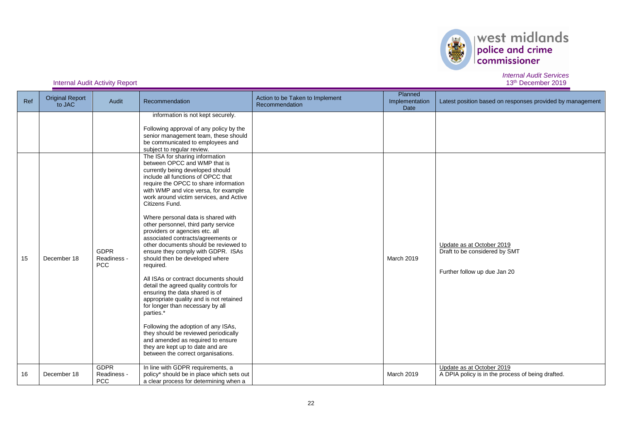

| Ref | <b>Original Report</b><br>to JAC | Audit                                    | Recommendation                                                                                                                                                                                                                                                                                                                                                                                                                                                                                                                                                                                                                                                                                                                                                                                                                                                                      | Action to be Taken to Implement<br>Recommendation | Planned<br>Implementation<br>Date | Latest position based on responses provided by management                                  |
|-----|----------------------------------|------------------------------------------|-------------------------------------------------------------------------------------------------------------------------------------------------------------------------------------------------------------------------------------------------------------------------------------------------------------------------------------------------------------------------------------------------------------------------------------------------------------------------------------------------------------------------------------------------------------------------------------------------------------------------------------------------------------------------------------------------------------------------------------------------------------------------------------------------------------------------------------------------------------------------------------|---------------------------------------------------|-----------------------------------|--------------------------------------------------------------------------------------------|
|     |                                  |                                          | information is not kept securely.<br>Following approval of any policy by the<br>senior management team, these should<br>be communicated to employees and<br>subject to regular review.<br>The ISA for sharing information<br>between OPCC and WMP that is<br>currently being developed should                                                                                                                                                                                                                                                                                                                                                                                                                                                                                                                                                                                       |                                                   |                                   |                                                                                            |
| 15  | December 18                      | <b>GDPR</b><br>Readiness -<br><b>PCC</b> | include all functions of OPCC that<br>require the OPCC to share information<br>with WMP and vice versa, for example<br>work around victim services, and Active<br>Citizens Fund.<br>Where personal data is shared with<br>other personnel, third party service<br>providers or agencies etc. all<br>associated contracts/agreements or<br>other documents should be reviewed to<br>ensure they comply with GDPR. ISAs<br>should then be developed where<br>required.<br>All ISAs or contract documents should<br>detail the agreed quality controls for<br>ensuring the data shared is of<br>appropriate quality and is not retained<br>for longer than necessary by all<br>parties.*<br>Following the adoption of any ISAs,<br>they should be reviewed periodically<br>and amended as required to ensure<br>they are kept up to date and are<br>between the correct organisations. |                                                   | March 2019                        | Update as at October 2019<br>Draft to be considered by SMT<br>Further follow up due Jan 20 |
| 16  | December 18                      | <b>GDPR</b><br>Readiness -<br><b>PCC</b> | In line with GDPR requirements, a<br>policy* should be in place which sets out<br>a clear process for determining when a                                                                                                                                                                                                                                                                                                                                                                                                                                                                                                                                                                                                                                                                                                                                                            |                                                   | March 2019                        | Update as at October 2019<br>A DPIA policy is in the process of being drafted.             |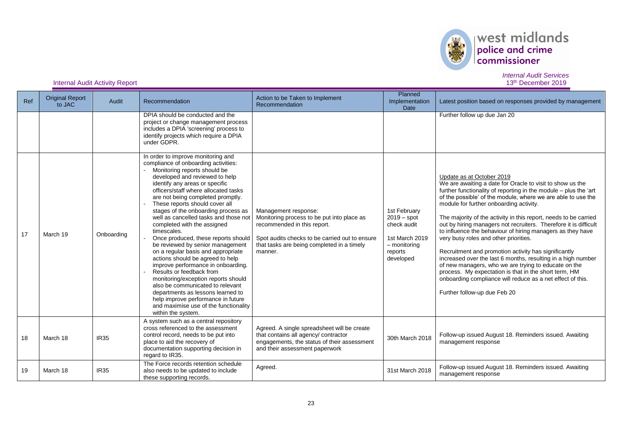

| Ref | <b>Original Report</b><br>to JAC | Audit       | Recommendation                                                                                                                                                                                                                                                                                                                                                                                                                                                                                                                                                                                                                                                                                                                                                                                                                                                          | Action to be Taken to Implement<br>Recommendation                                                                                                                                                            | <b>Planned</b><br>Implementation<br><b>Date</b>                                                          | Latest position based on responses provided by management                                                                                                                                                                                                                                                                                                                                                                                                                                                                                                                                                                                                                                                                                                                                                                                                   |
|-----|----------------------------------|-------------|-------------------------------------------------------------------------------------------------------------------------------------------------------------------------------------------------------------------------------------------------------------------------------------------------------------------------------------------------------------------------------------------------------------------------------------------------------------------------------------------------------------------------------------------------------------------------------------------------------------------------------------------------------------------------------------------------------------------------------------------------------------------------------------------------------------------------------------------------------------------------|--------------------------------------------------------------------------------------------------------------------------------------------------------------------------------------------------------------|----------------------------------------------------------------------------------------------------------|-------------------------------------------------------------------------------------------------------------------------------------------------------------------------------------------------------------------------------------------------------------------------------------------------------------------------------------------------------------------------------------------------------------------------------------------------------------------------------------------------------------------------------------------------------------------------------------------------------------------------------------------------------------------------------------------------------------------------------------------------------------------------------------------------------------------------------------------------------------|
|     |                                  |             | DPIA should be conducted and the<br>project or change management process<br>includes a DPIA 'screening' process to<br>identify projects which require a DPIA<br>under GDPR.                                                                                                                                                                                                                                                                                                                                                                                                                                                                                                                                                                                                                                                                                             |                                                                                                                                                                                                              |                                                                                                          | Further follow up due Jan 20                                                                                                                                                                                                                                                                                                                                                                                                                                                                                                                                                                                                                                                                                                                                                                                                                                |
| 17  | March 19                         | Onboarding  | In order to improve monitoring and<br>compliance of onboarding activities:<br>Monitoring reports should be<br>developed and reviewed to help<br>identify any areas or specific<br>officers/staff where allocated tasks<br>are not being completed promptly.<br>These reports should cover all<br>stages of the onboarding process as<br>well as cancelled tasks and those not<br>completed with the assigned<br>timescales.<br>Once produced, these reports should<br>be reviewed by senior management<br>on a regular basis and appropriate<br>actions should be agreed to help<br>improve performance in onboarding.<br>Results or feedback from<br>monitoring/exception reports should<br>also be communicated to relevant<br>departments as lessons learned to<br>help improve performance in future<br>and maximise use of the functionality<br>within the system. | Management response:<br>Monitoring process to be put into place as<br>recommended in this report.<br>Spot audits checks to be carried out to ensure<br>that tasks are being completed in a timely<br>manner. | 1st February<br>$2019 - spot$<br>check audit<br>1st March 2019<br>$-$ monitoring<br>reports<br>developed | Update as at October 2019<br>We are awaiting a date for Oracle to visit to show us the<br>further functionality of reporting in the module - plus the 'art<br>of the possible' of the module, where we are able to use the<br>module for further onboarding activity.<br>The majority of the activity in this report, needs to be carried<br>out by hiring managers not recruiters. Therefore it is difficult<br>to influence the behaviour of hiring managers as they have<br>very busy roles and other priorities.<br>Recruitment and promotion activity has significantly<br>increased over the last 6 months, resulting in a high number<br>of new managers, who we are trying to educate on the<br>process. My expectation is that in the short term, HM<br>onboarding compliance will reduce as a net effect of this.<br>Further follow-up due Feb 20 |
| 18  | March 18                         | <b>IR35</b> | A system such as a central repository<br>cross referenced to the assessment<br>control record, needs to be put into<br>place to aid the recovery of<br>documentation supporting decision in<br>regard to IR35.                                                                                                                                                                                                                                                                                                                                                                                                                                                                                                                                                                                                                                                          | Agreed. A single spreadsheet will be create<br>that contains all agency/ contractor<br>engagements, the status of their assessment<br>and their assessment paperwork                                         | 30th March 2018                                                                                          | Follow-up issued August 18. Reminders issued. Awaiting<br>management response                                                                                                                                                                                                                                                                                                                                                                                                                                                                                                                                                                                                                                                                                                                                                                               |
| 19  | March 18                         | <b>IR35</b> | The Force records retention schedule<br>also needs to be updated to include<br>these supporting records.                                                                                                                                                                                                                                                                                                                                                                                                                                                                                                                                                                                                                                                                                                                                                                | Agreed.                                                                                                                                                                                                      | 31st March 2018                                                                                          | Follow-up issued August 18. Reminders issued. Awaiting<br>management response                                                                                                                                                                                                                                                                                                                                                                                                                                                                                                                                                                                                                                                                                                                                                                               |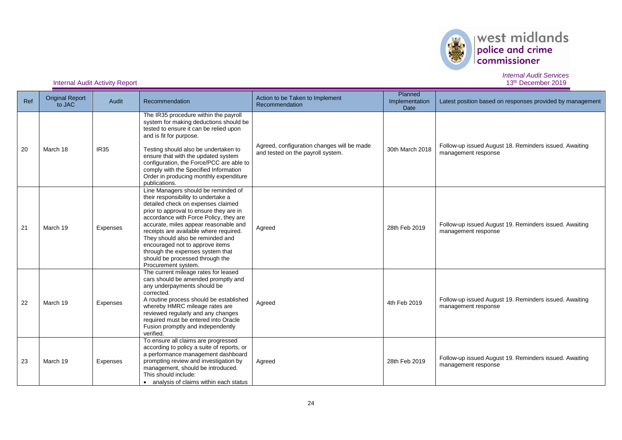

*Internal Audit Services*

| Ref | <b>Original Report</b><br>to JAC | Audit       | Recommendation                                                                                                                                                                                                                                                                                                                                                                                                                                                | Action to be Taken to Implement<br>Recommendation                               | Planned<br>Implementation<br><b>Date</b> | Latest position based on responses provided by management                     |
|-----|----------------------------------|-------------|---------------------------------------------------------------------------------------------------------------------------------------------------------------------------------------------------------------------------------------------------------------------------------------------------------------------------------------------------------------------------------------------------------------------------------------------------------------|---------------------------------------------------------------------------------|------------------------------------------|-------------------------------------------------------------------------------|
| 20  | March 18                         | <b>IR35</b> | The IR35 procedure within the payroll<br>system for making deductions should be<br>tested to ensure it can be relied upon<br>and is fit for purpose.<br>Testing should also be undertaken to<br>ensure that with the updated system<br>configuration, the Force/PCC are able to<br>comply with the Specified Information<br>Order in producing monthly expenditure<br>publications.                                                                           | Agreed, configuration changes will be made<br>and tested on the payroll system. | 30th March 2018                          | Follow-up issued August 18. Reminders issued. Awaiting<br>management response |
| 21  | March 19                         | Expenses    | Line Managers should be reminded of<br>their responsibility to undertake a<br>detailed check on expenses claimed<br>prior to approval to ensure they are in<br>accordance with Force Policy, they are<br>accurate, miles appear reasonable and<br>receipts are available where required.<br>They should also be reminded and<br>encouraged not to approve items<br>through the expenses system that<br>should be processed through the<br>Procurement system. | Agreed                                                                          | 28th Feb 2019                            | Follow-up issued August 19. Reminders issued. Awaiting<br>management response |
| 22  | March 19                         | Expenses    | The current mileage rates for leased<br>cars should be amended promptly and<br>any underpayments should be<br>corrected.<br>A routine process should be established<br>whereby HMRC mileage rates are<br>reviewed regularly and any changes<br>required must be entered into Oracle<br>Fusion promptly and independently<br>verified.                                                                                                                         | Agreed                                                                          | 4th Feb 2019                             | Follow-up issued August 19. Reminders issued. Awaiting<br>management response |
| 23  | March 19                         | Expenses    | To ensure all claims are progressed<br>according to policy a suite of reports, or<br>a performance management dashboard<br>prompting review and investigation by<br>management, should be introduced.<br>This should include:<br>• analysis of claims within each status                                                                                                                                                                                      | Agreed                                                                          | 28th Feb 2019                            | Follow-up issued August 19. Reminders issued. Awaiting<br>management response |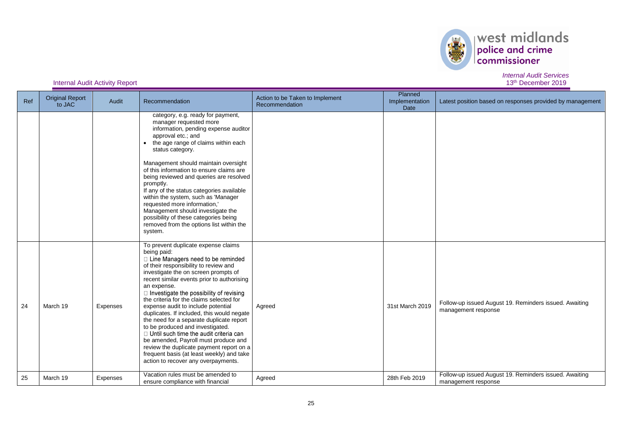

| Ref | <b>Original Report</b><br>to JAC | Audit    | Recommendation                                                                                                                                                                                                                                                                                                                                                                                                                                                                                                                                                                                                                                                                                                                     | Action to be Taken to Implement<br>Recommendation | Planned<br>Implementation<br>Date | Latest position based on responses provided by management                     |
|-----|----------------------------------|----------|------------------------------------------------------------------------------------------------------------------------------------------------------------------------------------------------------------------------------------------------------------------------------------------------------------------------------------------------------------------------------------------------------------------------------------------------------------------------------------------------------------------------------------------------------------------------------------------------------------------------------------------------------------------------------------------------------------------------------------|---------------------------------------------------|-----------------------------------|-------------------------------------------------------------------------------|
|     |                                  |          | category, e.g. ready for payment,<br>manager requested more<br>information, pending expense auditor<br>approval etc.; and<br>the age range of claims within each<br>status category.<br>Management should maintain oversight<br>of this information to ensure claims are<br>being reviewed and queries are resolved<br>promptly.<br>If any of the status categories available<br>within the system, such as 'Manager<br>requested more information,'<br>Management should investigate the<br>possibility of these categories being<br>removed from the options list within the<br>system.                                                                                                                                          |                                                   |                                   |                                                                               |
| 24  | March 19                         | Expenses | To prevent duplicate expense claims<br>being paid:<br>□ Line Managers need to be reminded<br>of their responsibility to review and<br>investigate the on screen prompts of<br>recent similar events prior to authorising<br>an expense.<br>$\Box$ Investigate the possibility of revising<br>the criteria for the claims selected for<br>expense audit to include potential<br>duplicates. If included, this would negate<br>the need for a separate duplicate report<br>to be produced and investigated.<br>$\Box$ Until such time the audit criteria can<br>be amended, Payroll must produce and<br>review the duplicate payment report on a<br>frequent basis (at least weekly) and take<br>action to recover any overpayments. | Agreed                                            | 31st March 2019                   | Follow-up issued August 19. Reminders issued. Awaiting<br>management response |
| 25  | March 19                         | Expenses | Vacation rules must be amended to<br>ensure compliance with financial                                                                                                                                                                                                                                                                                                                                                                                                                                                                                                                                                                                                                                                              | Agreed                                            | 28th Feb 2019                     | Follow-up issued August 19. Reminders issued. Awaiting<br>management response |